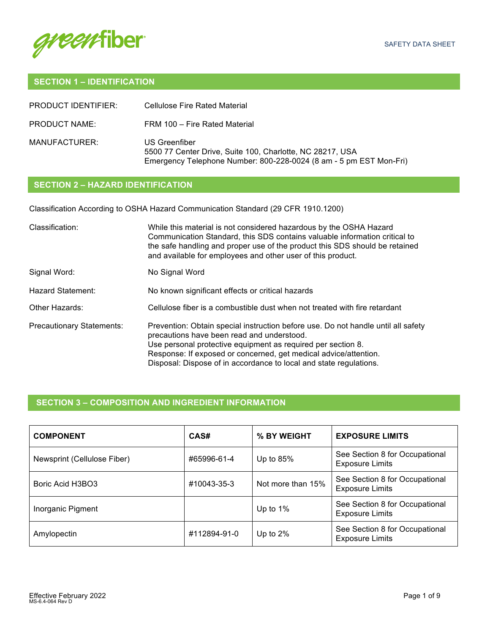

# **SECTION 1 – IDENTIFICATION**

| PRODUCT IDENTIFIER: | Cellulose Fire Rated Material                                                                                                                    |
|---------------------|--------------------------------------------------------------------------------------------------------------------------------------------------|
| PRODUCT NAME:       | FRM 100 - Fire Rated Material                                                                                                                    |
| MANUFACTURER:       | US Greenfiber<br>5500 77 Center Drive, Suite 100, Charlotte, NC 28217, USA<br>Emergency Telephone Number: 800-228-0024 (8 am - 5 pm EST Mon-Fri) |

# **SECTION 2 – HAZARD IDENTIFICATION**

Classification According to OSHA Hazard Communication Standard (29 CFR 1910.1200)

| Classification:                  | While this material is not considered hazardous by the OSHA Hazard<br>Communication Standard, this SDS contains valuable information critical to<br>the safe handling and proper use of the product this SDS should be retained<br>and available for employees and other user of this product.                                            |
|----------------------------------|-------------------------------------------------------------------------------------------------------------------------------------------------------------------------------------------------------------------------------------------------------------------------------------------------------------------------------------------|
| Signal Word:                     | No Signal Word                                                                                                                                                                                                                                                                                                                            |
| Hazard Statement:                | No known significant effects or critical hazards                                                                                                                                                                                                                                                                                          |
| Other Hazards:                   | Cellulose fiber is a combustible dust when not treated with fire retardant                                                                                                                                                                                                                                                                |
| <b>Precautionary Statements:</b> | Prevention: Obtain special instruction before use. Do not handle until all safety<br>precautions have been read and understood.<br>Use personal protective equipment as required per section 8.<br>Response: If exposed or concerned, get medical advice/attention.<br>Disposal: Dispose of in accordance to local and state regulations. |

# **SECTION 3 – COMPOSITION AND INGREDIENT INFORMATION**

| <b>COMPONENT</b>            | CAS#         | % BY WEIGHT       | <b>EXPOSURE LIMITS</b>                                   |
|-----------------------------|--------------|-------------------|----------------------------------------------------------|
| Newsprint (Cellulose Fiber) | #65996-61-4  | Up to $85%$       | See Section 8 for Occupational<br><b>Exposure Limits</b> |
| Boric Acid H3BO3            | #10043-35-3  | Not more than 15% | See Section 8 for Occupational<br><b>Exposure Limits</b> |
| Inorganic Pigment           |              | Up to $1\%$       | See Section 8 for Occupational<br><b>Exposure Limits</b> |
| Amylopectin                 | #112894-91-0 | Up to 2%          | See Section 8 for Occupational<br><b>Exposure Limits</b> |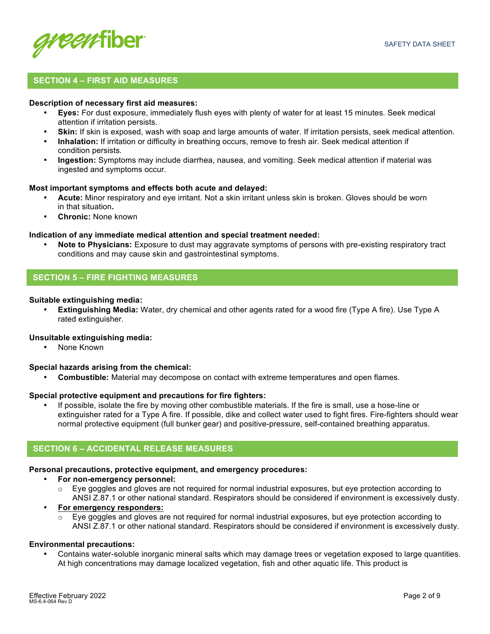

## **SECTION 4 – FIRST AID MEASURES**

#### **Description of necessary first aid measures:**

- **Eyes:** For dust exposure, immediately flush eyes with plenty of water for at least 15 minutes. Seek medical attention if irritation persists.
- **Skin:** If skin is exposed, wash with soap and large amounts of water. If irritation persists, seek medical attention.
- **Inhalation:** If irritation or difficulty in breathing occurs, remove to fresh air. Seek medical attention if condition persists.
- **Ingestion:** Symptoms may include diarrhea, nausea, and vomiting. Seek medical attention if material was ingested and symptoms occur.

#### **Most important symptoms and effects both acute and delayed:**

- **Acute:** Minor respiratory and eye irritant. Not a skin irritant unless skin is broken. Gloves should be worn in that situation**.**
- **Chronic:** None known

### **Indication of any immediate medical attention and special treatment needed:**

• **Note to Physicians:** Exposure to dust may aggravate symptoms of persons with pre-existing respiratory tract conditions and may cause skin and gastrointestinal symptoms.

## **SECTION 5 – FIRE FIGHTING MEASURES**

#### **Suitable extinguishing media:**

• **Extinguishing Media:** Water, dry chemical and other agents rated for a wood fire (Type A fire). Use Type A rated extinguisher.

#### **Unsuitable extinguishing media:**

• None Known

#### **Special hazards arising from the chemical:**

• **Combustible:** Material may decompose on contact with extreme temperatures and open flames.

#### **Special protective equipment and precautions for fire fighters:**

• If possible, isolate the fire by moving other combustible materials. If the fire is small, use a hose-line or extinguisher rated for a Type A fire. If possible, dike and collect water used to fight fires. Fire-fighters should wear normal protective equipment (full bunker gear) and positive-pressure, self-contained breathing apparatus.

## **SECTION 6 – ACCIDENTAL RELEASE MEASURES**

#### **Personal precautions, protective equipment, and emergency procedures:**

- **For non-emergency personnel:**
	- Eye goggles and gloves are not required for normal industrial exposures, but eye protection according to ANSI Z.87.1 or other national standard. Respirators should be considered if environment is excessively dusty.
- **For emergency responders:**
	- Eye goggles and gloves are not required for normal industrial exposures, but eye protection according to ANSI Z.87.1 or other national standard. Respirators should be considered if environment is excessively dusty.

#### **Environmental precautions:**

• Contains water-soluble inorganic mineral salts which may damage trees or vegetation exposed to large quantities. At high concentrations may damage localized vegetation, fish and other aquatic life. This product is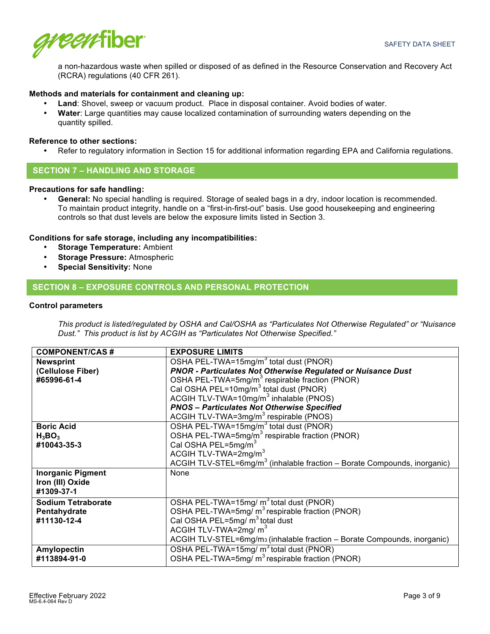

a non-hazardous waste when spilled or disposed of as defined in the Resource Conservation and Recovery Act (RCRA) regulations (40 CFR 261).

## **Methods and materials for containment and cleaning up:**

- **Land**: Shovel, sweep or vacuum product. Place in disposal container. Avoid bodies of water.
- **Water**: Large quantities may cause localized contamination of surrounding waters depending on the quantity spilled.

### **Reference to other sections:**

• Refer to regulatory information in Section 15 for additional information regarding EPA and California regulations.

## **SECTION 7 – HANDLING AND STORAGE**

## **Precautions for safe handling:**

• **General:** No special handling is required. Storage of sealed bags in a dry, indoor location is recommended. To maintain product integrity, handle on a "first-in-first-out" basis. Use good housekeeping and engineering controls so that dust levels are below the exposure limits listed in Section 3.

## **Conditions for safe storage, including any incompatibilities:**

- **Storage Temperature:** Ambient
- **Storage Pressure:** Atmospheric
- **Special Sensitivity:** None

## **SECTION 8 – EXPOSURE CONTROLS AND PERSONAL PROTECTION**

### **Control parameters**

*This product is listed/regulated by OSHA and Cal/OSHA as "Particulates Not Otherwise Regulated" or "Nuisance Dust." This product is list by ACGIH as "Particulates Not Otherwise Specified."*

| <b>COMPONENT/CAS#</b>     | <b>EXPOSURE LIMITS</b>                                                               |
|---------------------------|--------------------------------------------------------------------------------------|
| <b>Newsprint</b>          | OSHA PEL-TWA=15mg/m <sup>3</sup> total dust (PNOR)                                   |
| (Cellulose Fiber)         | <b>PNOR - Particulates Not Otherwise Regulated or Nuisance Dust</b>                  |
| #65996-61-4               | OSHA PEL-TWA=5mg/m <sup>3</sup> respirable fraction (PNOR)                           |
|                           | Cal OSHA PEL=10mg/m <sup>3</sup> total dust (PNOR)                                   |
|                           | ACGIH TLV-TWA=10 $mg/m3$ inhalable (PNOS)                                            |
|                           | <b>PNOS - Particulates Not Otherwise Specified</b>                                   |
|                           | ACGIH TLV-TWA=3mg/m <sup>3</sup> respirable (PNOS)                                   |
| <b>Boric Acid</b>         | OSHA PEL-TWA=15mg/m <sup>3</sup> total dust (PNOR)                                   |
| $H_3BO_3$                 | OSHA PEL-TWA=5mg/m <sup>3</sup> respirable fraction (PNOR)                           |
| #10043-35-3               | Cal OSHA PEL=5mg/m <sup>3</sup>                                                      |
|                           | ACGIH TLV-TWA=2mg/m <sup>3</sup>                                                     |
|                           | ACGIH TLV-STEL=6 $mg/m3$ (inhalable fraction – Borate Compounds, inorganic)          |
| <b>Inorganic Pigment</b>  | None                                                                                 |
| Iron (III) Oxide          |                                                                                      |
| #1309-37-1                |                                                                                      |
| <b>Sodium Tetraborate</b> | OSHA PEL-TWA=15mg/ m <sup>3</sup> total dust (PNOR)                                  |
| Pentahydrate              | OSHA PEL-TWA=5mg/ m <sup>3</sup> respirable fraction (PNOR)                          |
| #11130-12-4               | Cal OSHA PEL=5mg/ $m3$ total dust                                                    |
|                           | ACGIH TLV-TWA=2mg/ $m3$                                                              |
|                           | ACGIH TLV-STEL=6mg/m <sub>3</sub> (inhalable fraction - Borate Compounds, inorganic) |
| <b>Amylopectin</b>        | OSHA PEL-TWA=15mg/ m <sup>3</sup> total dust (PNOR)                                  |
| #113894-91-0              | OSHA PEL-TWA=5mg/ m <sup>3</sup> respirable fraction (PNOR)                          |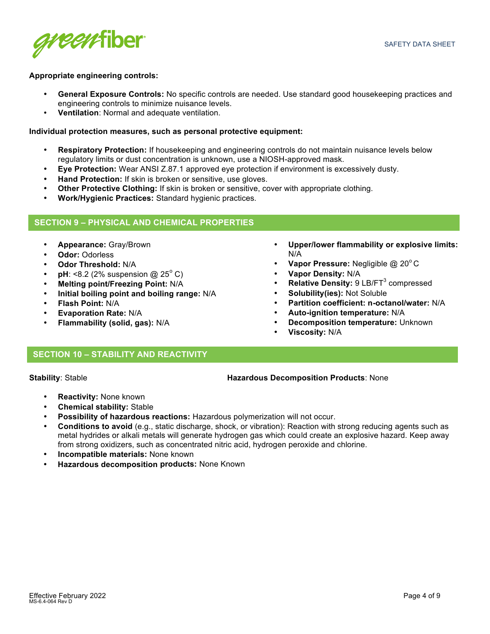

### **Appropriate engineering controls:**

- **General Exposure Controls:** No specific controls are needed. Use standard good housekeeping practices and engineering controls to minimize nuisance levels.
- **Ventilation**: Normal and adequate ventilation.

### **Individual protection measures, such as personal protective equipment:**

- **Respiratory Protection:** If housekeeping and engineering controls do not maintain nuisance levels below regulatory limits or dust concentration is unknown, use a NIOSH-approved mask.
- **Eye Protection:** Wear ANSI Z.87.1 approved eye protection if environment is excessively dusty.
- **Hand Protection:** If skin is broken or sensitive, use gloves.
- **Other Protective Clothing:** If skin is broken or sensitive, cover with appropriate clothing.
- **Work/Hygienic Practices:** Standard hygienic practices.

## **SECTION 9 – PHYSICAL AND CHEMICAL PROPERTIES**

- **Appearance:** Gray/Brown
- **Odor:** Odorless
- **Odor Threshold:** N/A
- **pH**: <8.2 (2% suspension  $@$  25<sup>°</sup> C)
- **Melting point/Freezing Point:** N/A
- **Initial boiling point and boiling range:** N/A
- **Flash Point:** N/A
- **Evaporation Rate:** N/A
- **Flammability (solid, gas):** N/A
- **Upper/lower flammability or explosive limits:** N/A
- **Vapor Pressure:** Negligible @ 20°C
- **Vapor Density:** N/A
- **Relative Density: 9 LB/FT<sup>3</sup> compressed**
- **Solubility(ies):** Not Soluble
- **Partition coefficient: n-octanol/water:** N/A
- **Auto-ignition temperature:** N/A
- **Decomposition temperature:** Unknown
- **Viscosity:** N/A

## **SECTION 10 – STABILITY AND REACTIVITY**

### **Stability**: Stable **Hazardous Decomposition Products**: None

- **Reactivity:** None known
- **Chemical stability:** Stable
- **Possibility of hazardous reactions:** Hazardous polymerization will not occur.
- **Conditions to avoid** (e.g., static discharge, shock, or vibration): Reaction with strong reducing agents such as metal hydrides or alkali metals will generate hydrogen gas which could create an explosive hazard. Keep away from strong oxidizers, such as concentrated nitric acid, hydrogen peroxide and chlorine.
- **Incompatible materials:** None known
- **Hazardous decomposition products:** None Known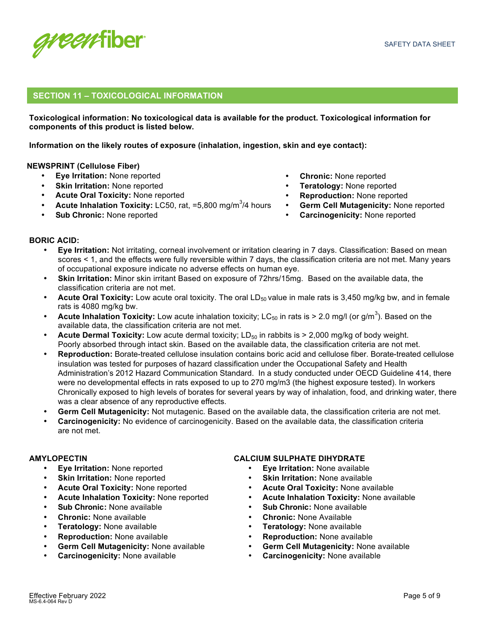

## **SECTION 11 – TOXICOLOGICAL INFORMATION**

**Toxicological information: No toxicological data is available for the product. Toxicological information for components of this product is listed below.**

**Information on the likely routes of exposure (inhalation, ingestion, skin and eye contact):**

## **NEWSPRINT (Cellulose Fiber)**

- **Eye Irritation:** None reported
- **Skin Irritation: None reported**
- **Acute Oral Toxicity:** None reported
- Acute Inhalation Toxicity: LC50, rat, =5,800 mg/m<sup>3</sup>/4 hours
- **Sub Chronic:** None reported
- **Chronic:** None reported
- **Teratology:** None reported
- **Reproduction:** None reported
- **Germ Cell Mutagenicity:** None reported
- **Carcinogenicity:** None reported

## **BORIC ACID:**

- **Eye Irritation:** Not irritating, corneal involvement or irritation clearing in 7 days. Classification: Based on mean scores < 1, and the effects were fully reversible within 7 days, the classification criteria are not met. Many years of occupational exposure indicate no adverse effects on human eye.
- **Skin Irritation:** Minor skin irritant Based on exposure of 72hrs/15mg. Based on the available data, the classification criteria are not met.
- **Acute Oral Toxicity:** Low acute oral toxicity. The oral LD<sub>50</sub> value in male rats is 3,450 mg/kg bw, and in female rats is 4080 mg/kg bw.
- Acute Inhalation Toxicity: Low acute inhalation toxicity; LC<sub>50</sub> in rats is > 2.0 mg/l (or g/m<sup>3</sup>). Based on the available data, the classification criteria are not met.
- **Acute Dermal Toxicity:** Low acute dermal toxicity; LD<sub>50</sub> in rabbits is > 2,000 mg/kg of body weight. Poorly absorbed through intact skin. Based on the available data, the classification criteria are not met.
- **Reproduction:** Borate-treated cellulose insulation contains boric acid and cellulose fiber. Borate-treated cellulose insulation was tested for purposes of hazard classification under the Occupational Safety and Health Administration's 2012 Hazard Communication Standard. In a study conducted under OECD Guideline 414, there were no developmental effects in rats exposed to up to 270 mg/m3 (the highest exposure tested). In workers Chronically exposed to high levels of borates for several years by way of inhalation, food, and drinking water, there was a clear absence of any reproductive effects.
- **Germ Cell Mutagenicity:** Not mutagenic. Based on the available data, the classification criteria are not met.
- **Carcinogenicity:** No evidence of carcinogenicity. Based on the available data, the classification criteria are not met.

## **AMYLOPECTIN**

- **Eye Irritation:** None reported
- **Skin Irritation: None reported**
- **Acute Oral Toxicity:** None reported
- **Acute Inhalation Toxicity:** None reported
- **Sub Chronic:** None available
- **Chronic:** None available
- **Teratology:** None available
- **Reproduction:** None available
- **Germ Cell Mutagenicity:** None available
- **Carcinogenicity:** None available

## **CALCIUM SULPHATE DIHYDRATE**

- **Eye Irritation:** None available
- **Skin Irritation: None available**
- **Acute Oral Toxicity:** None available
- **Acute Inhalation Toxicity:** None available
- **Sub Chronic:** None available
- **Chronic:** None Available
- **Teratology:** None available
- **Reproduction:** None available
- **Germ Cell Mutagenicity:** None available
- **Carcinogenicity:** None available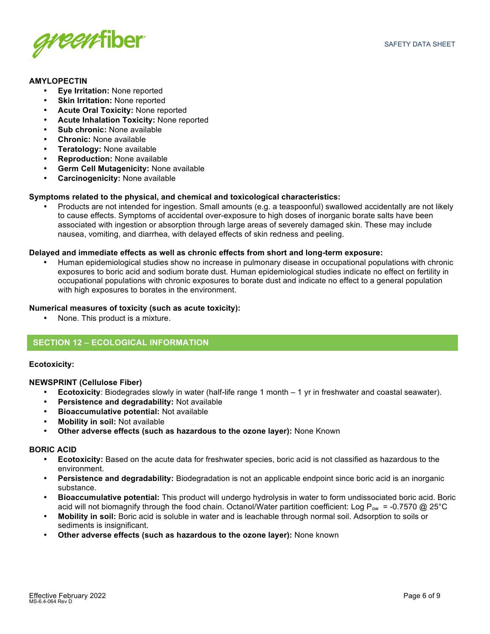

## **AMYLOPECTIN**

- **Eye Irritation:** None reported
- **Skin Irritation:** None reported
- **Acute Oral Toxicity:** None reported
- **Acute Inhalation Toxicity:** None reported
- **Sub chronic:** None available
- **Chronic:** None available
- **Teratology:** None available
- **Reproduction:** None available
- **Germ Cell Mutagenicity:** None available
- **Carcinogenicity:** None available

## **Symptoms related to the physical, and chemical and toxicological characteristics:**

• Products are not intended for ingestion. Small amounts (e.g. a teaspoonful) swallowed accidentally are not likely to cause effects. Symptoms of accidental over-exposure to high doses of inorganic borate salts have been associated with ingestion or absorption through large areas of severely damaged skin. These may include nausea, vomiting, and diarrhea, with delayed effects of skin redness and peeling.

## **Delayed and immediate effects as well as chronic effects from short and long-term exposure:**

• Human epidemiological studies show no increase in pulmonary disease in occupational populations with chronic exposures to boric acid and sodium borate dust. Human epidemiological studies indicate no effect on fertility in occupational populations with chronic exposures to borate dust and indicate no effect to a general population with high exposures to borates in the environment.

## **Numerical measures of toxicity (such as acute toxicity):**

• None. This product is a mixture.

## **SECTION 12 – ECOLOGICAL INFORMATION**

### **Ecotoxicity:**

### **NEWSPRINT (Cellulose Fiber)**

- **Ecotoxicity**: Biodegrades slowly in water (half-life range 1 month 1 yr in freshwater and coastal seawater).
- **Persistence and degradability:** Not available
- **Bioaccumulative potential:** Not available
- **Mobility in soil:** Not available
- **Other adverse effects (such as hazardous to the ozone layer):** None Known

### **BORIC ACID**

- **Ecotoxicity:** Based on the acute data for freshwater species, boric acid is not classified as hazardous to the environment.
- **Persistence and degradability:** Biodegradation is not an applicable endpoint since boric acid is an inorganic substance.
- **Bioaccumulative potential:** This product will undergo hydrolysis in water to form undissociated boric acid. Boric acid will not biomagnify through the food chain. Octanol/Water partition coefficient: Log P<sub>ow</sub> = -0.7570 @ 25°C
- **Mobility in soil:** Boric acid is soluble in water and is leachable through normal soil. Adsorption to soils or sediments is insignificant.
- **Other adverse effects (such as hazardous to the ozone layer):** None known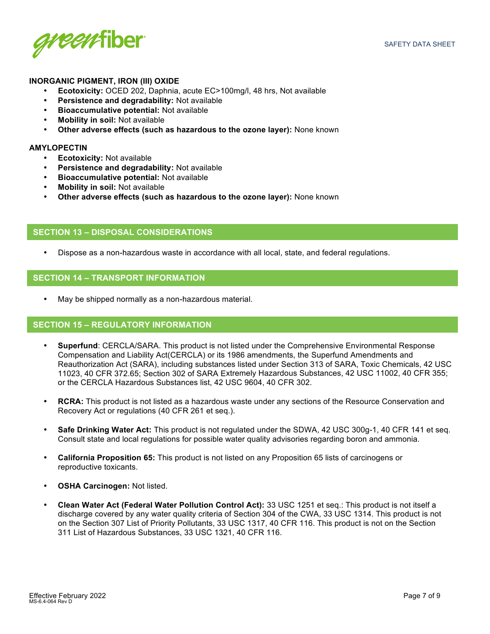

## **INORGANIC PIGMENT, IRON (III) OXIDE**

- **Ecotoxicity:** OCED 202, Daphnia, acute EC>100mg/l, 48 hrs, Not available
- **Persistence and degradability:** Not available
- **Bioaccumulative potential:** Not available
- **Mobility in soil:** Not available
- **Other adverse effects (such as hazardous to the ozone layer):** None known

#### **AMYLOPECTIN**

- **Ecotoxicity:** Not available
- **Persistence and degradability:** Not available
- **Bioaccumulative potential:** Not available
- **Mobility in soil:** Not available
- **Other adverse effects (such as hazardous to the ozone layer):** None known

## **SECTION 13 – DISPOSAL CONSIDERATIONS**

• Dispose as a non-hazardous waste in accordance with all local, state, and federal regulations.

## **SECTION 14 – TRANSPORT INFORMATION**

• May be shipped normally as a non-hazardous material.

## **SECTION 15 – REGULATORY INFORMATION**

- **Superfund**: CERCLA/SARA. This product is not listed under the Comprehensive Environmental Response Compensation and Liability Act(CERCLA) or its 1986 amendments, the Superfund Amendments and Reauthorization Act (SARA), including substances listed under Section 313 of SARA, Toxic Chemicals, 42 USC 11023, 40 CFR 372.65; Section 302 of SARA Extremely Hazardous Substances, 42 USC 11002, 40 CFR 355; or the CERCLA Hazardous Substances list, 42 USC 9604, 40 CFR 302.
- **RCRA:** This product is not listed as a hazardous waste under any sections of the Resource Conservation and Recovery Act or regulations (40 CFR 261 et seq.).
- **Safe Drinking Water Act:** This product is not regulated under the SDWA, 42 USC 300g-1, 40 CFR 141 et seq. Consult state and local regulations for possible water quality advisories regarding boron and ammonia.
- **California Proposition 65:** This product is not listed on any Proposition 65 lists of carcinogens or reproductive toxicants.
- **OSHA Carcinogen:** Not listed.
- **Clean Water Act (Federal Water Pollution Control Act):** 33 USC 1251 et seq.: This product is not itself a discharge covered by any water quality criteria of Section 304 of the CWA, 33 USC 1314. This product is not on the Section 307 List of Priority Pollutants, 33 USC 1317, 40 CFR 116. This product is not on the Section 311 List of Hazardous Substances, 33 USC 1321, 40 CFR 116.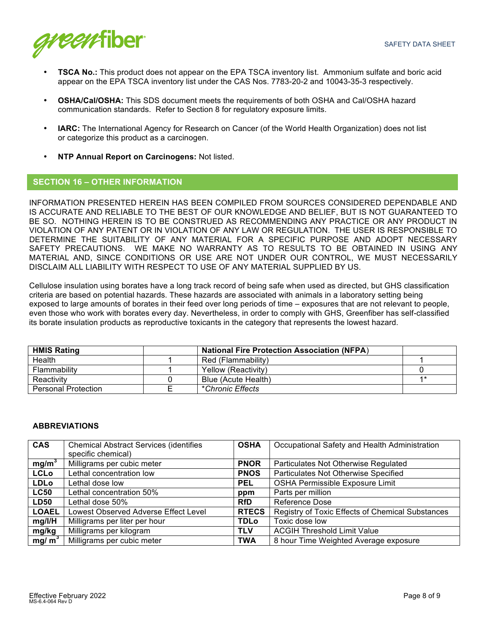

- **TSCA No.:** This product does not appear on the EPA TSCA inventory list. Ammonium sulfate and boric acid appear on the EPA TSCA inventory list under the CAS Nos. 7783-20-2 and 10043-35-3 respectively.
- **OSHA/Cal/OSHA:** This SDS document meets the requirements of both OSHA and Cal/OSHA hazard communication standards. Refer to Section 8 for regulatory exposure limits.
- **IARC:** The International Agency for Research on Cancer (of the World Health Organization) does not list or categorize this product as a carcinogen.
- **NTP Annual Report on Carcinogens:** Not listed.

## **SECTION 16 – OTHER INFORMATION**

INFORMATION PRESENTED HEREIN HAS BEEN COMPILED FROM SOURCES CONSIDERED DEPENDABLE AND IS ACCURATE AND RELIABLE TO THE BEST OF OUR KNOWLEDGE AND BELIEF, BUT IS NOT GUARANTEED TO BE SO. NOTHING HEREIN IS TO BE CONSTRUED AS RECOMMENDING ANY PRACTICE OR ANY PRODUCT IN VIOLATION OF ANY PATENT OR IN VIOLATION OF ANY LAW OR REGULATION. THE USER IS RESPONSIBLE TO DETERMINE THE SUITABILITY OF ANY MATERIAL FOR A SPECIFIC PURPOSE AND ADOPT NECESSARY SAFETY PRECAUTIONS. WE MAKE NO WARRANTY AS TO RESULTS TO BE OBTAINED IN USING ANY MATERIAL AND, SINCE CONDITIONS OR USE ARE NOT UNDER OUR CONTROL, WE MUST NECESSARILY DISCLAIM ALL LIABILITY WITH RESPECT TO USE OF ANY MATERIAL SUPPLIED BY US.

Cellulose insulation using borates have a long track record of being safe when used as directed, but GHS classification criteria are based on potential hazards. These hazards are associated with animals in a laboratory setting being exposed to large amounts of borates in their feed over long periods of time – exposures that are not relevant to people, even those who work with borates every day. Nevertheless, in order to comply with GHS, Greenfiber has self-classified its borate insulation products as reproductive toxicants in the category that represents the lowest hazard.

| <b>HMIS Rating</b>         | <b>National Fire Protection Association (NFPA)</b> |            |
|----------------------------|----------------------------------------------------|------------|
| Health                     | Red (Flammability)                                 |            |
| Flammability               | Yellow (Reactivity)                                |            |
| Reactivity                 | Blue (Acute Health)                                | <b>4 *</b> |
| <b>Personal Protection</b> | *Chronic Effects                                   |            |

### **ABBREVIATIONS**

| <b>CAS</b>        | <b>Chemical Abstract Services (identifies</b> | <b>OSHA</b>  | Occupational Safety and Health Administration    |
|-------------------|-----------------------------------------------|--------------|--------------------------------------------------|
|                   | specific chemical)                            |              |                                                  |
| mg/m <sup>3</sup> | Milligrams per cubic meter                    | <b>PNOR</b>  | Particulates Not Otherwise Regulated             |
| <b>LCLo</b>       | Lethal concentration low                      | <b>PNOS</b>  | Particulates Not Otherwise Specified             |
| <b>LDLo</b>       | Lethal dose low                               | <b>PEL</b>   | OSHA Permissible Exposure Limit                  |
| <b>LC50</b>       | Lethal concentration 50%                      | ppm          | Parts per million                                |
| <b>LD50</b>       | Lethal dose 50%                               | <b>RfD</b>   | Reference Dose                                   |
| <b>LOAEL</b>      | Lowest Observed Adverse Effect Level          | <b>RTECS</b> | Registry of Toxic Effects of Chemical Substances |
| mg/l/H            | Milligrams per liter per hour                 | <b>TDLo</b>  | Toxic dose low                                   |
| mg/kg             | Milligrams per kilogram                       | <b>TLV</b>   | <b>ACGIH Threshold Limit Value</b>               |
| mg/ $m3$          | Milligrams per cubic meter                    | <b>TWA</b>   | 8 hour Time Weighted Average exposure            |